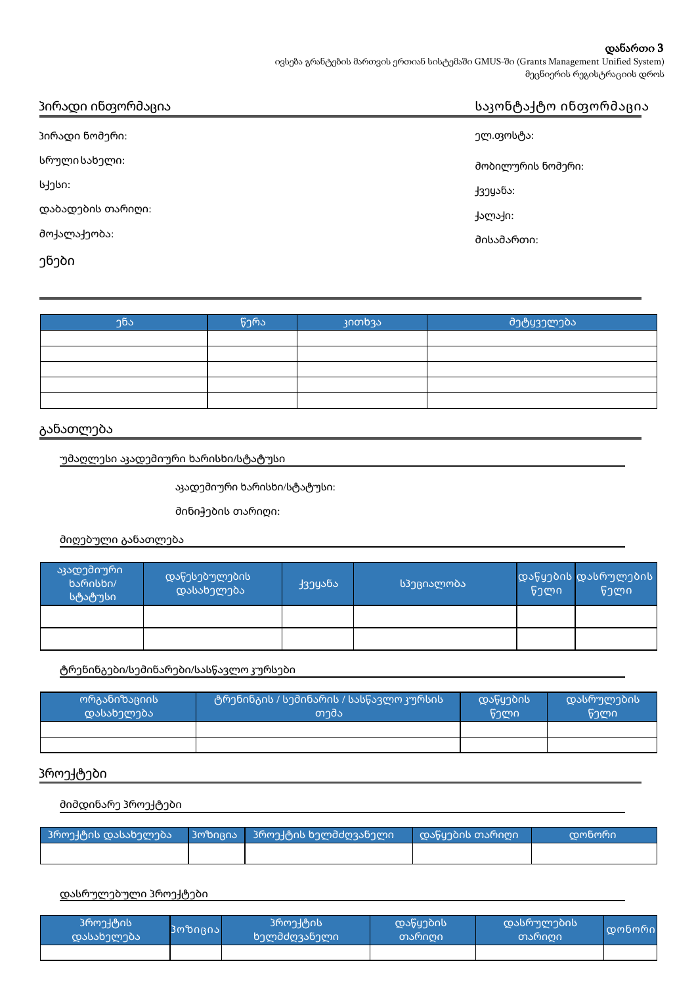#### დანართი 3

ივსება გრანტების მართვის ერთიან სისტემაში GMUS-ში (Grants Management Unified System) მეცნიერის რეგისტრაციის დროს

| პირადი ინთორმაცია | საკონტაქტო ინფორმაცია |  |
|-------------------|-----------------------|--|
| პირადი ნომერი:    | ელ.თოსტა:             |  |
| სრული სახელი:     | მობილურის ნომერი:     |  |
| სქესი:            | ქვეⴘანა:              |  |
| დაბადების თარიღი: | ქალაქი:               |  |
| მოქალაქეობა:      | მისამართი:            |  |
| ენები             |                       |  |

| $\mathcal{D}$ ნა | წერა | კითხვა | მეტყველება |
|------------------|------|--------|------------|
|                  |      |        |            |
|                  |      |        |            |
|                  |      |        |            |
|                  |      |        |            |
|                  |      |        |            |

# განათლება

უმაღლესი აკადემიური ხარისხი**/**სტატუსი

აკადემიური ხარისხი/სტატუსი:

მინიჭების თარიღი:

მიღებული განათლება

| აკადემიური<br>ხარისხი/<br><mark>.</mark> სტატუსი ! | დაწესებულების <sup> </sup><br>დასახელება | ქვეⴘანა | სპეციალობა | წელი | დაწყების დასრულების<br>წელი |
|----------------------------------------------------|------------------------------------------|---------|------------|------|-----------------------------|
|                                                    |                                          |         |            |      |                             |
|                                                    |                                          |         |            |      |                             |

ტრენინგები**/**სემინარები**/**სასწავლო კურსები

| ორგანიზაციის<br>დასახელება | ტრენინგის / სემინარის / სასწავლო კურსის<br>თემა | დაწყების<br>წელი | დასრულების<br>წელი |
|----------------------------|-------------------------------------------------|------------------|--------------------|
|                            |                                                 |                  |                    |
|                            |                                                 |                  |                    |

## პროექტები

მიმდინარე პროექტები

| _ 3როექტის დასახელება | პოზიცია   პროექტის ხელმძღვანელი | დაწყების თარიღი | სდონორი ! |
|-----------------------|---------------------------------|-----------------|-----------|
|                       |                                 |                 |           |

#### დასრულებული პროექტები

| პროექტის<br>დასახელება | პოზიცია | პროექტის<br>ხელმძღვანელი | დაწყების<br>თარიღი | დასრულების<br>თარიღი | <u>  დონორი</u> |
|------------------------|---------|--------------------------|--------------------|----------------------|-----------------|
|                        |         |                          |                    |                      |                 |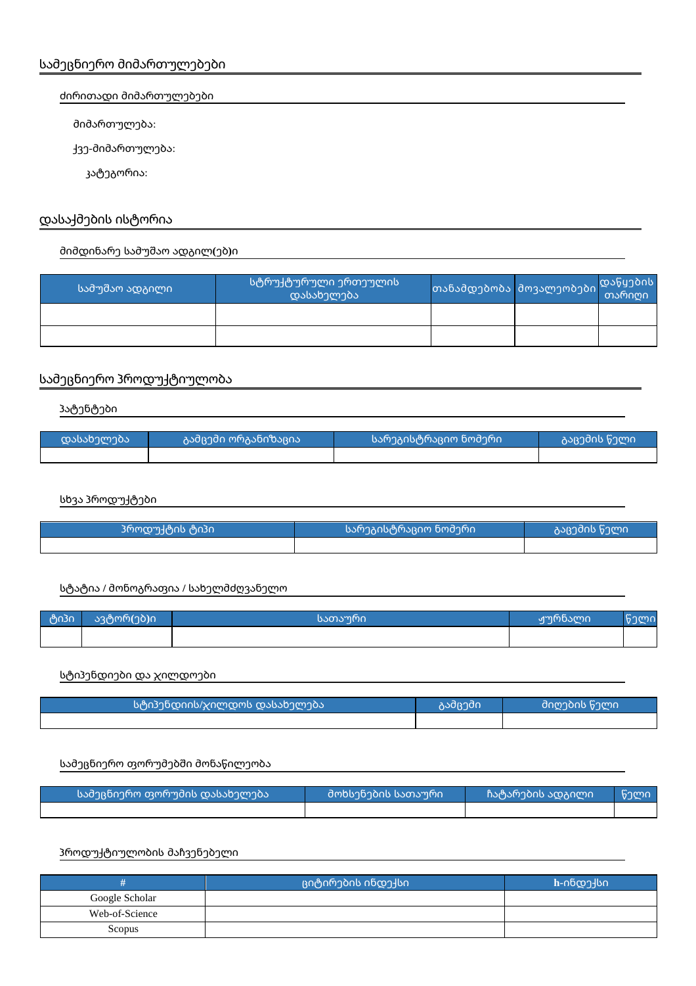#### ძირითადი მიმართულებები

მიმართულება:

ქვე-მიმართულება:

კატეგორია:

# დასაქმების ისტორია

## მიმდინარე სამუშაო ადგილ**(**ებ**)**ი

| <u> სამუშაო ადგილი  </u> | სტრუქტურული ერთეულის<br>დასახელება |  |  |
|--------------------------|------------------------------------|--|--|
|                          |                                    |  |  |
|                          |                                    |  |  |

# სამეცნიერო პროდუქტიულობა

პატენტები

| დასახელება <b> </b> | აამცემი ორგანიზაცია ! | სარეგისტრაციო ნომერი | გაცემის წელი |
|---------------------|-----------------------|----------------------|--------------|
|                     |                       |                      |              |

სხვა პროდუქტები

| პროდუქტის ტიპი | სარეგისტრაციო ნომერი <sup> </sup> | კაცემის წელი <sup>!</sup> |
|----------------|-----------------------------------|---------------------------|
|                |                                   |                           |

#### სტატია **/** მონოგრაფია **/** სახელმძღვანელო

| ტიპი | ავტორ(ებ)ი | სათაური | ჟურნალი | $\sim$<br>VII. |
|------|------------|---------|---------|----------------|
|      |            |         |         |                |

## სტიპენდიები და ჯილდოები

| სტიპენდიის/ჯილდოს დასახელება | კამცემი | _მიღების წელი |
|------------------------------|---------|---------------|
|                              |         |               |

### სამეცნიერო ფორუმებში მონაწილეობა

| სამეცნიერო ფორუმის დასახელება | მოხსენების სათაური | ჩატარების ადგილი | ა წელი ა |
|-------------------------------|--------------------|------------------|----------|
|                               |                    |                  |          |

### პროდუქტიულობის მაჩვენებელი

|                | ციტირების ინდექსი <sup> </sup> | h-ინდე-სი |
|----------------|--------------------------------|-----------|
| Google Scholar |                                |           |
| Web-of-Science |                                |           |
| Scopus         |                                |           |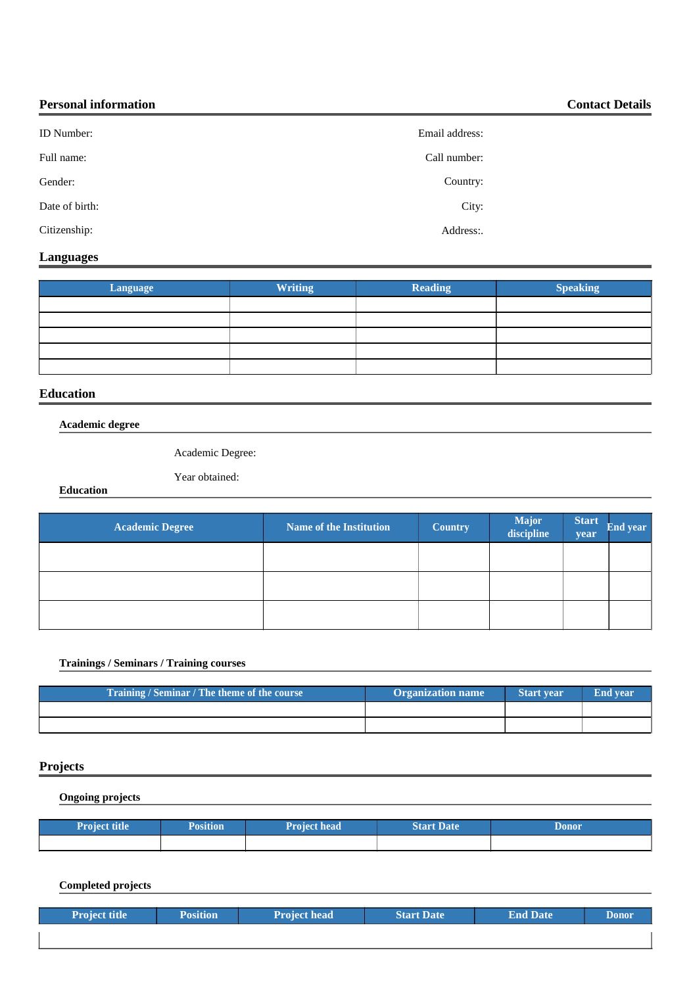| <b>Personal information</b> |                | <b>Contact Details</b> |
|-----------------------------|----------------|------------------------|
| <b>ID</b> Number:           | Email address: |                        |
| Full name:                  | Call number:   |                        |
| Gender:                     | Country:       |                        |
| Date of birth:              | City:          |                        |
| Citizenship:                | Address:       |                        |

### **Languages**

| Language | <b>Writing</b> | Reading | <b>Speaking</b> |
|----------|----------------|---------|-----------------|
|          |                |         |                 |
|          |                |         |                 |
|          |                |         |                 |
|          |                |         |                 |
|          |                |         |                 |

### **Education**

**Academic degree**

Academic Degree:

Year obtained:

**Education**

| <b>Academic Degree</b> | <b>Name of the Institution</b> | <b>Country</b> | <b>Major</b><br>discipline | <b>Start</b><br>year | End year |
|------------------------|--------------------------------|----------------|----------------------------|----------------------|----------|
|                        |                                |                |                            |                      |          |
|                        |                                |                |                            |                      |          |
|                        |                                |                |                            |                      |          |

#### **Trainings / Seminars / Training courses**

| Training / Seminar / The theme of the course | <b>Organization name</b> | <b>Start year</b> | <b>End vear</b> |
|----------------------------------------------|--------------------------|-------------------|-----------------|
|                                              |                          |                   |                 |
|                                              |                          |                   |                 |

# **Projects**

I

**Ongoing projects**

| <b>Project title</b> | <b>Position</b> | <b>Project head</b> | <b>Start Date</b> | Donor |
|----------------------|-----------------|---------------------|-------------------|-------|
|                      |                 |                     |                   |       |

**Completed projects**

| <b>Project title</b> | <b>Position</b> | <b>Project head</b> | <b>Start Date</b> | <b>End Date</b> | <b>Donor</b> |
|----------------------|-----------------|---------------------|-------------------|-----------------|--------------|
|                      |                 |                     |                   |                 |              |